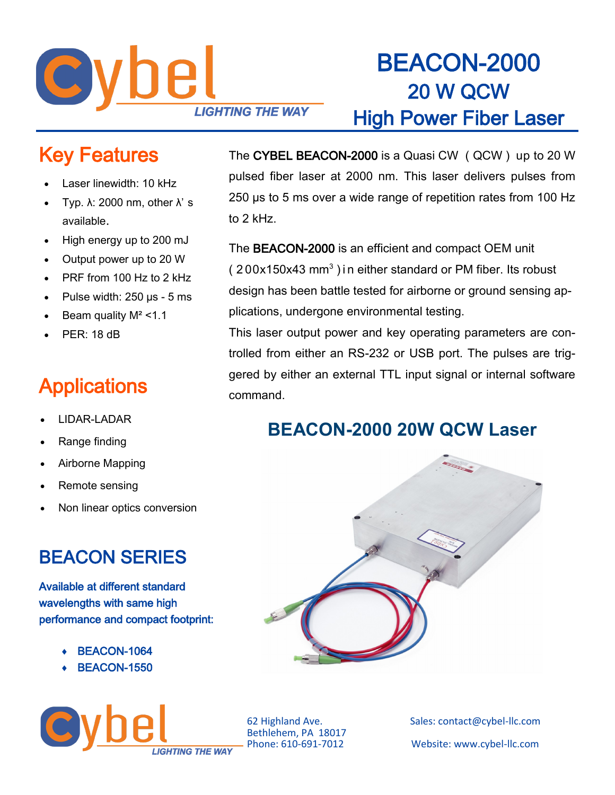

## BEACON-2000 20 W QCW High Power Fiber Laser

#### Key Features

- Laser linewidth: 10 kHz
- Typ.  $λ$ : 2000 nm, other  $λ$ ' s available.
- High energy up to 200 mJ
- Output power up to 20 W
- PRF from 100 Hz to 2 kHz
- Pulse width: 250 µs 5 ms
- Beam quality  $M^2 < 1.1$
- $PFR: 18$  dB

### **Applications**

- LIDAR-LADAR
- Range finding
- Airborne Mapping
- Remote sensing
- Non linear optics conversion

#### BEACON SERIES

Available at different standard wavelengths with same high performance and compact footprint:

- BEACON-1064
- BEACON-1550



The CYBEL BEACON-2000 is a Quasi CW ( QCW ) up to 20 W pulsed fiber laser at 2000 nm. This laser delivers pulses from 250 µs to 5 ms over a wide range of repetition rates from 100 Hz to 2 kHz.

The BEACON-2000 is an efficient and compact OEM unit  $(200x150x43$  mm<sup>3</sup>) in either standard or PM fiber. Its robust design has been battle tested for airborne or ground sensing applications, undergone environmental testing.

This laser output power and key operating parameters are controlled from either an RS-232 or USB port. The pulses are triggered by either an external TTL input signal or internal software command.

#### **BEACON-2000 20W QCW Laser**



Bethlehem, PA 18017<br>Phone: 610-691-7012

62 Highland Ave. Sales: contact@cybel-llc.com Website: www.cybel-llc.com